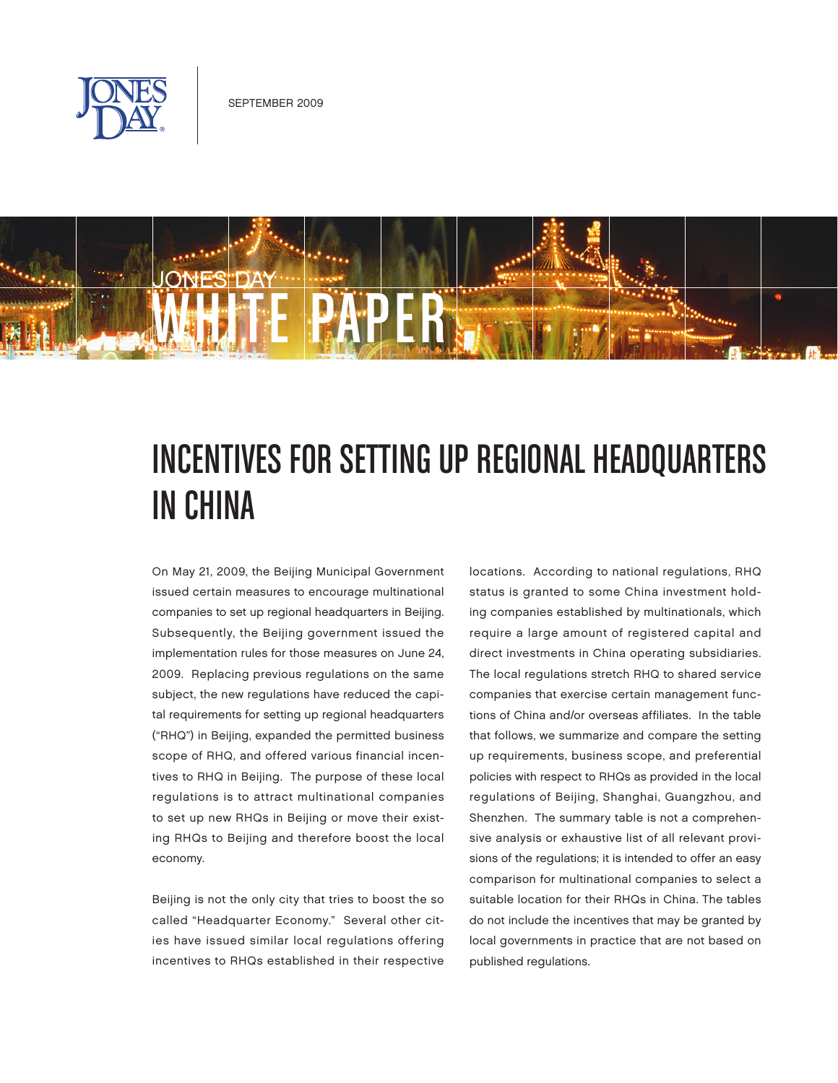



# INCENTIVES FOR SETTING UP REGIONAL HEADQUARTERS in China

On May 21, 2009, the Beijing Municipal Government issued certain measures to encourage multinational companies to set up regional headquarters in Beijing. Subsequently, the Beijing government issued the implementation rules for those measures on June 24, 2009. Replacing previous regulations on the same subject, the new regulations have reduced the capital requirements for setting up regional headquarters ("RHQ") in Beijing, expanded the permitted business scope of RHQ, and offered various financial incentives to RHQ in Beijing. The purpose of these local regulations is to attract multinational companies to set up new RHQs in Beijing or move their existing RHQs to Beijing and therefore boost the local economy.

Beijing is not the only city that tries to boost the so called "Headquarter Economy." Several other cities have issued similar local regulations offering incentives to RHQs established in their respective

locations. According to national regulations, RHQ status is granted to some China investment holding companies established by multinationals, which require a large amount of registered capital and direct investments in China operating subsidiaries. The local regulations stretch RHQ to shared service companies that exercise certain management functions of China and/or overseas affiliates. In the table that follows, we summarize and compare the setting up requirements, business scope, and preferential policies with respect to RHQs as provided in the local regulations of Beijing, Shanghai, Guangzhou, and Shenzhen. The summary table is not a comprehensive analysis or exhaustive list of all relevant provisions of the regulations; it is intended to offer an easy comparison for multinational companies to select a suitable location for their RHQs in China. The tables do not include the incentives that may be granted by local governments in practice that are not based on published regulations.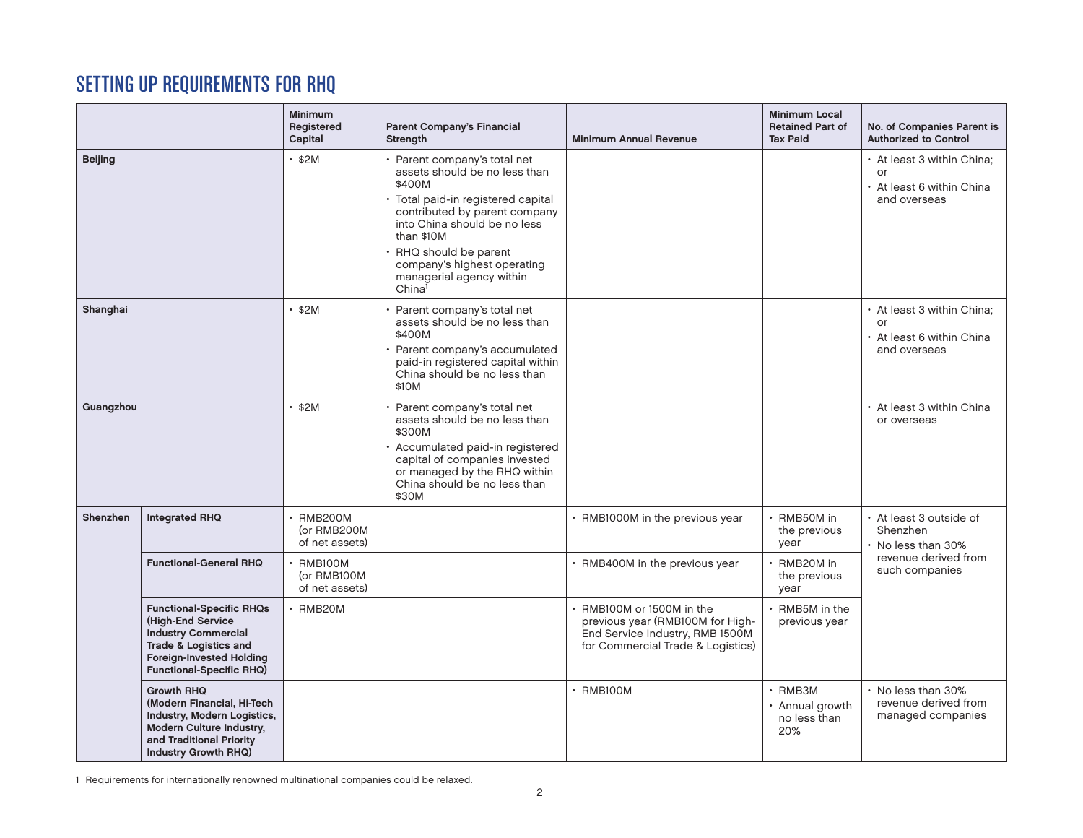## Setting Up Requirements for RHQ

|                |                                                                                                                                                                                   | <b>Minimum</b><br>Registered<br>Capital          | <b>Parent Company's Financial</b><br><b>Strength</b>                                                                                                                                                                                                                                                | <b>Minimum Annual Revenue</b>                                                                                                       | <b>Minimum Local</b><br><b>Retained Part of</b><br><b>Tax Paid</b> | No. of Companies Parent is<br><b>Authorized to Control</b>                    |
|----------------|-----------------------------------------------------------------------------------------------------------------------------------------------------------------------------------|--------------------------------------------------|-----------------------------------------------------------------------------------------------------------------------------------------------------------------------------------------------------------------------------------------------------------------------------------------------------|-------------------------------------------------------------------------------------------------------------------------------------|--------------------------------------------------------------------|-------------------------------------------------------------------------------|
| <b>Beijing</b> |                                                                                                                                                                                   | $\cdot$ \$2M                                     | Parent company's total net<br>assets should be no less than<br>\$400M<br>Total paid-in registered capital<br>contributed by parent company<br>into China should be no less<br>than \$10M<br>• RHQ should be parent<br>company's highest operating<br>managerial agency within<br>China <sup>1</sup> |                                                                                                                                     |                                                                    | • At least 3 within China:<br>or<br>• At least 6 within China<br>and overseas |
| Shanghai       |                                                                                                                                                                                   | $\cdot$ \$2M                                     | Parent company's total net<br>assets should be no less than<br>\$400M<br>Parent company's accumulated<br>paid-in registered capital within<br>China should be no less than<br>\$10M                                                                                                                 |                                                                                                                                     |                                                                    | • At least 3 within China;<br>or<br>• At least 6 within China<br>and overseas |
| Guangzhou      |                                                                                                                                                                                   | $\cdot$ \$2M                                     | Parent company's total net<br>assets should be no less than<br>\$300M<br>· Accumulated paid-in registered<br>capital of companies invested<br>or managed by the RHQ within<br>China should be no less than<br>\$30M                                                                                 |                                                                                                                                     |                                                                    | • At least 3 within China<br>or overseas                                      |
| Shenzhen       | <b>Integrated RHQ</b>                                                                                                                                                             | $\cdot$ RMB200M<br>(or RMB200M<br>of net assets) |                                                                                                                                                                                                                                                                                                     | • RMB1000M in the previous year                                                                                                     | · RMB50M in<br>the previous<br>year                                | • At least 3 outside of<br>Shenzhen<br>• No less than 30%                     |
|                | <b>Functional-General RHQ</b>                                                                                                                                                     | $\cdot$ RMB100M<br>(or RMB100M<br>of net assets) |                                                                                                                                                                                                                                                                                                     | • RMB400M in the previous year                                                                                                      | • RMB20M in<br>the previous<br>year                                | revenue derived from<br>such companies                                        |
|                | <b>Functional-Specific RHQs</b><br>(High-End Service<br><b>Industry Commercial</b><br>Trade & Logistics and<br><b>Foreign-Invested Holding</b><br><b>Functional-Specific RHQ)</b> | $\cdot$ RMB20M                                   |                                                                                                                                                                                                                                                                                                     | RMB100M or 1500M in the<br>previous year (RMB100M for High-<br>End Service Industry, RMB 1500M<br>for Commercial Trade & Logistics) | • RMB5M in the<br>previous year                                    |                                                                               |
|                | <b>Growth RHQ</b><br>(Modern Financial, Hi-Tech<br>Industry, Modern Logistics,<br>Modern Culture Industry,<br>and Traditional Priority<br>Industry Growth RHQ)                    |                                                  |                                                                                                                                                                                                                                                                                                     | $\cdot$ RMB100M                                                                                                                     | $\cdot$ RMB3M<br>• Annual growth<br>no less than<br>20%            | • No less than 30%<br>revenue derived from<br>managed companies               |

1 Requirements for internationally renowned multinational companies could be relaxed.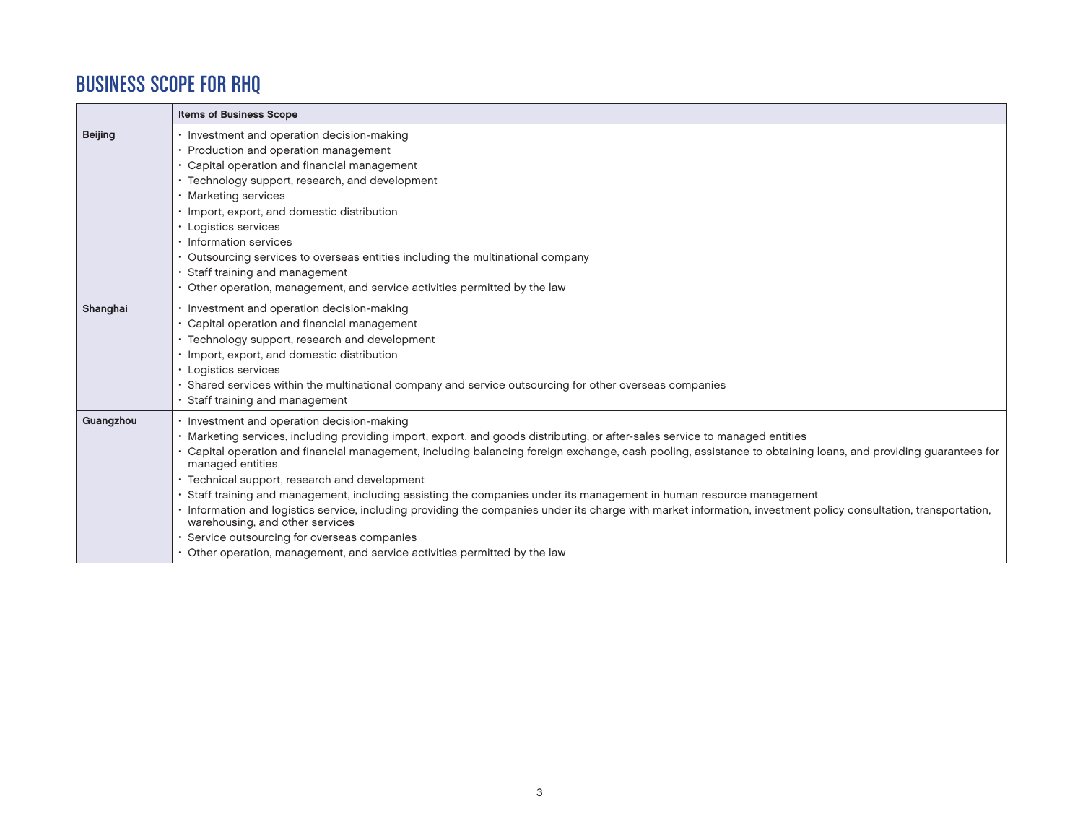### Business Scope for RHQ

|                | <b>Items of Business Scope</b>                                                                                                                                                                      |  |  |  |  |  |
|----------------|-----------------------------------------------------------------------------------------------------------------------------------------------------------------------------------------------------|--|--|--|--|--|
| <b>Beijing</b> | • Investment and operation decision-making                                                                                                                                                          |  |  |  |  |  |
|                | • Production and operation management                                                                                                                                                               |  |  |  |  |  |
|                | • Capital operation and financial management                                                                                                                                                        |  |  |  |  |  |
|                | • Technology support, research, and development                                                                                                                                                     |  |  |  |  |  |
|                | • Marketing services                                                                                                                                                                                |  |  |  |  |  |
|                | • Import, export, and domestic distribution                                                                                                                                                         |  |  |  |  |  |
|                | • Logistics services                                                                                                                                                                                |  |  |  |  |  |
|                | • Information services                                                                                                                                                                              |  |  |  |  |  |
|                | • Outsourcing services to overseas entities including the multinational company                                                                                                                     |  |  |  |  |  |
|                | • Staff training and management                                                                                                                                                                     |  |  |  |  |  |
|                | • Other operation, management, and service activities permitted by the law                                                                                                                          |  |  |  |  |  |
| Shanghai       | · Investment and operation decision-making                                                                                                                                                          |  |  |  |  |  |
|                | • Capital operation and financial management                                                                                                                                                        |  |  |  |  |  |
|                | • Technology support, research and development                                                                                                                                                      |  |  |  |  |  |
|                | • Import, export, and domestic distribution                                                                                                                                                         |  |  |  |  |  |
|                | • Logistics services                                                                                                                                                                                |  |  |  |  |  |
|                | · Shared services within the multinational company and service outsourcing for other overseas companies                                                                                             |  |  |  |  |  |
|                | • Staff training and management                                                                                                                                                                     |  |  |  |  |  |
| Guangzhou      | • Investment and operation decision-making                                                                                                                                                          |  |  |  |  |  |
|                | • Marketing services, including providing import, export, and goods distributing, or after-sales service to managed entities                                                                        |  |  |  |  |  |
|                | · Capital operation and financial management, including balancing foreign exchange, cash pooling, assistance to obtaining loans, and providing guarantees for<br>managed entities                   |  |  |  |  |  |
|                | • Technical support, research and development                                                                                                                                                       |  |  |  |  |  |
|                | Staff training and management, including assisting the companies under its management in human resource management                                                                                  |  |  |  |  |  |
|                | · Information and logistics service, including providing the companies under its charge with market information, investment policy consultation, transportation,<br>warehousing, and other services |  |  |  |  |  |
|                | · Service outsourcing for overseas companies                                                                                                                                                        |  |  |  |  |  |
|                | • Other operation, management, and service activities permitted by the law                                                                                                                          |  |  |  |  |  |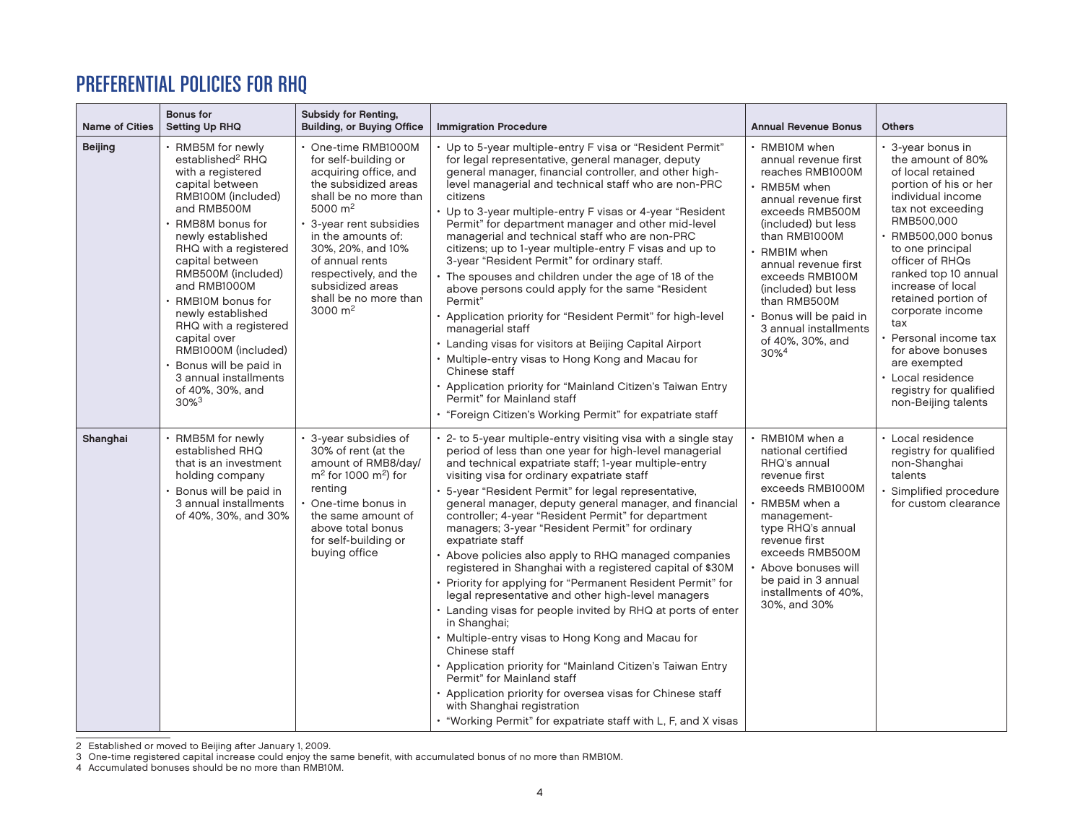### Preferential Policies for RHQ

| <b>Name of Cities</b> | <b>Bonus for</b><br><b>Setting Up RHQ</b>                                                                                                                                                                                                                                                                                                                                                                                                                          | <b>Subsidy for Renting,</b><br><b>Building, or Buying Office</b>                                                                                                                                                                                                                                             | <b>Immigration Procedure</b>                                                                                                                                                                                                                                                                                                                                                                                                                                                                                                                                                                                                                                                                                                                                                                                                                                                                                                                                                                                                                                                                                                               | <b>Annual Revenue Bonus</b>                                                                                                                                                                                                                                                                                                                               | <b>Others</b>                                                                                                                                                                                                                                                                                                                                                                                                                          |
|-----------------------|--------------------------------------------------------------------------------------------------------------------------------------------------------------------------------------------------------------------------------------------------------------------------------------------------------------------------------------------------------------------------------------------------------------------------------------------------------------------|--------------------------------------------------------------------------------------------------------------------------------------------------------------------------------------------------------------------------------------------------------------------------------------------------------------|--------------------------------------------------------------------------------------------------------------------------------------------------------------------------------------------------------------------------------------------------------------------------------------------------------------------------------------------------------------------------------------------------------------------------------------------------------------------------------------------------------------------------------------------------------------------------------------------------------------------------------------------------------------------------------------------------------------------------------------------------------------------------------------------------------------------------------------------------------------------------------------------------------------------------------------------------------------------------------------------------------------------------------------------------------------------------------------------------------------------------------------------|-----------------------------------------------------------------------------------------------------------------------------------------------------------------------------------------------------------------------------------------------------------------------------------------------------------------------------------------------------------|----------------------------------------------------------------------------------------------------------------------------------------------------------------------------------------------------------------------------------------------------------------------------------------------------------------------------------------------------------------------------------------------------------------------------------------|
| <b>Beijing</b>        | • RMB5M for newly<br>established <sup>2</sup> RHQ<br>with a registered<br>capital between<br>RMB100M (included)<br>and RMB500M<br>· RMB8M bonus for<br>newly established<br>RHQ with a registered<br>capital between<br>RMB500M (included)<br>and RMB1000M<br>RMB10M bonus for<br>newly established<br>RHQ with a registered<br>capital over<br>RMB1000M (included)<br>· Bonus will be paid in<br>3 annual installments<br>of 40%, 30%, and<br>$30\%$ <sup>3</sup> | • One-time RMB1000M<br>for self-building or<br>acquiring office, and<br>the subsidized areas<br>shall be no more than<br>5000 $m2$<br>3-year rent subsidies<br>in the amounts of:<br>30%, 20%, and 10%<br>of annual rents<br>respectively, and the<br>subsidized areas<br>shall be no more than<br>3000 $m2$ | • Up to 5-year multiple-entry F visa or "Resident Permit"<br>for legal representative, general manager, deputy<br>general manager, financial controller, and other high-<br>level managerial and technical staff who are non-PRC<br>citizens<br>• Up to 3-year multiple-entry F visas or 4-year "Resident<br>Permit" for department manager and other mid-level<br>managerial and technical staff who are non-PRC<br>citizens; up to 1-year multiple-entry F visas and up to<br>3-year "Resident Permit" for ordinary staff.<br>• The spouses and children under the age of 18 of the<br>above persons could apply for the same "Resident<br>Permit"<br>• Application priority for "Resident Permit" for high-level<br>managerial staff<br>• Landing visas for visitors at Beijing Capital Airport<br>• Multiple-entry visas to Hong Kong and Macau for<br>Chinese staff<br>• Application priority for "Mainland Citizen's Taiwan Entry<br>Permit" for Mainland staff<br>• "Foreign Citizen's Working Permit" for expatriate staff                                                                                                         | · RMB10M when<br>annual revenue first<br>reaches RMB1000M<br>• RMB5M when<br>annual revenue first<br>exceeds RMB500M<br>(included) but less<br>than RMB1000M<br>RMB1M when<br>annual revenue first<br>exceeds RMB100M<br>(included) but less<br>than RMB500M<br>Bonus will be paid in<br>3 annual installments<br>of 40%, 30%, and<br>$30\%$ <sup>4</sup> | • 3-year bonus in<br>the amount of 80%<br>of local retained<br>portion of his or her<br>individual income<br>tax not exceeding<br>RMB500,000<br>RMB500,000 bonus<br>to one principal<br>officer of RHQs<br>ranked top 10 annual<br>increase of local<br>retained portion of<br>corporate income<br>tax<br>Personal income tax<br>for above bonuses<br>are exempted<br>Local residence<br>registry for qualified<br>non-Beijing talents |
| Shanghai              | • RMB5M for newly<br>established RHQ<br>that is an investment<br>holding company<br>• Bonus will be paid in<br>3 annual installments<br>of 40%, 30%, and 30%                                                                                                                                                                                                                                                                                                       | 3-year subsidies of<br>30% of rent (at the<br>amount of RMB8/day/<br>$m2$ for 1000 m <sup>2</sup> ) for<br>renting<br>One-time bonus in<br>the same amount of<br>above total bonus<br>for self-building or<br>buying office                                                                                  | • 2- to 5-year multiple-entry visiting visa with a single stay<br>period of less than one year for high-level managerial<br>and technical expatriate staff; 1-year multiple-entry<br>visiting visa for ordinary expatriate staff<br>· 5-year "Resident Permit" for legal representative,<br>general manager, deputy general manager, and financial<br>controller; 4-year "Resident Permit" for department<br>managers; 3-year "Resident Permit" for ordinary<br>expatriate staff<br>• Above policies also apply to RHQ managed companies<br>registered in Shanghai with a registered capital of \$30M<br>• Priority for applying for "Permanent Resident Permit" for<br>legal representative and other high-level managers<br>• Landing visas for people invited by RHQ at ports of enter<br>in Shanghai;<br>• Multiple-entry visas to Hong Kong and Macau for<br>Chinese staff<br>• Application priority for "Mainland Citizen's Taiwan Entry<br>Permit" for Mainland staff<br>• Application priority for oversea visas for Chinese staff<br>with Shanghai registration<br>• "Working Permit" for expatriate staff with L, F, and X visas | • RMB10M when a<br>national certified<br>RHQ's annual<br>revenue first<br>exceeds RMB1000M<br>RMB5M when a<br>management-<br>type RHQ's annual<br>revenue first<br>exceeds RMB500M<br>• Above bonuses will<br>be paid in 3 annual<br>installments of 40%,<br>30%, and 30%                                                                                 | • Local residence<br>registry for qualified<br>non-Shanghai<br>talents<br>· Simplified procedure<br>for custom clearance                                                                                                                                                                                                                                                                                                               |

2 Established or moved to Beijing after January 1, 2009.

3 One-time registered capital increase could enjoy the same benefit, with accumulated bonus of no more than RMB10M.

4 Accumulated bonuses should be no more than RMB10M.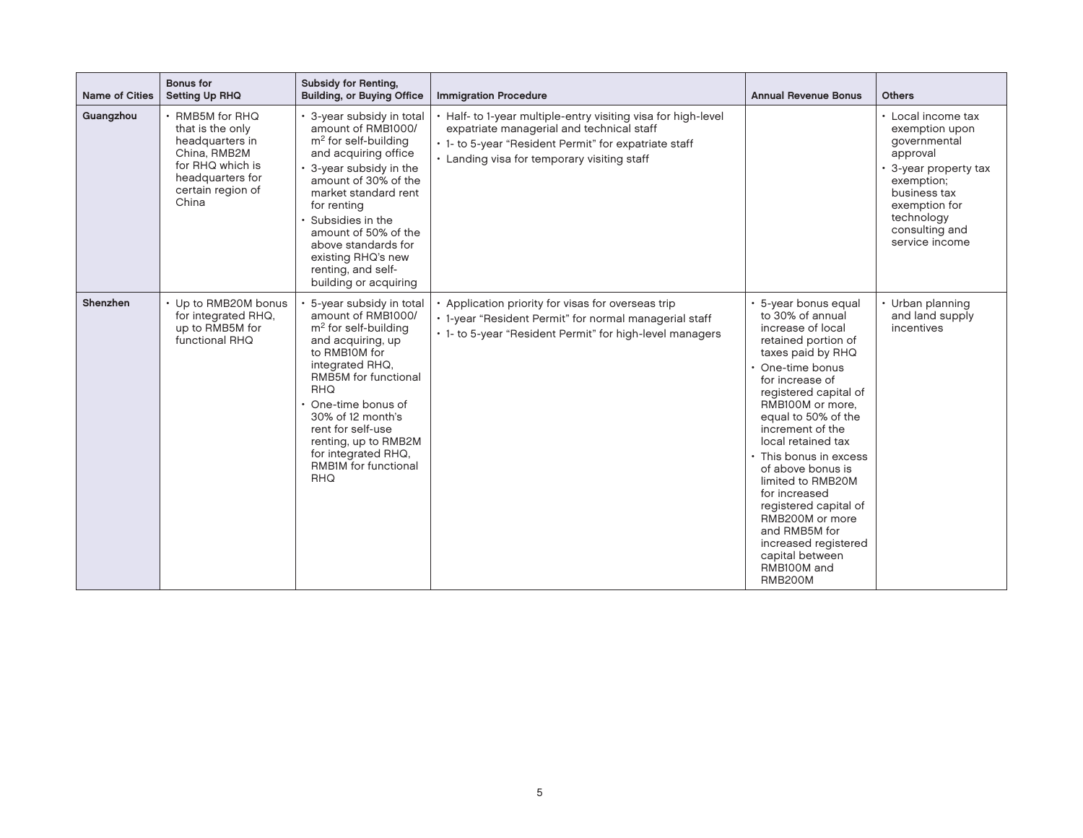| <b>Name of Cities</b> | <b>Bonus for</b><br><b>Setting Up RHQ</b>                                                                                                    | <b>Subsidy for Renting,</b><br><b>Building, or Buying Office</b>                                                                                                                                                                                                                                                                              | <b>Immigration Procedure</b>                                                                                                                                                                                       | <b>Annual Revenue Bonus</b>                                                                                                                                                                                                                                                                                                                                                                                                                                                                | <b>Others</b>                                                                                                                                                                            |
|-----------------------|----------------------------------------------------------------------------------------------------------------------------------------------|-----------------------------------------------------------------------------------------------------------------------------------------------------------------------------------------------------------------------------------------------------------------------------------------------------------------------------------------------|--------------------------------------------------------------------------------------------------------------------------------------------------------------------------------------------------------------------|--------------------------------------------------------------------------------------------------------------------------------------------------------------------------------------------------------------------------------------------------------------------------------------------------------------------------------------------------------------------------------------------------------------------------------------------------------------------------------------------|------------------------------------------------------------------------------------------------------------------------------------------------------------------------------------------|
| Guangzhou             | · RMB5M for RHQ<br>that is the only<br>headquarters in<br>China, RMB2M<br>for RHQ which is<br>headquarters for<br>certain region of<br>China | • 3-year subsidy in total<br>amount of RMB1000/<br>m <sup>2</sup> for self-building<br>and acquiring office<br>• 3-year subsidy in the<br>amount of 30% of the<br>market standard rent<br>for renting<br>Subsidies in the<br>amount of 50% of the<br>above standards for<br>existing RHQ's new<br>renting, and self-<br>building or acquiring | • Half- to 1-year multiple-entry visiting visa for high-level<br>expatriate managerial and technical staff<br>• 1- to 5-year "Resident Permit" for expatriate staff<br>• Landing visa for temporary visiting staff |                                                                                                                                                                                                                                                                                                                                                                                                                                                                                            | • Local income tax<br>exemption upon<br>governmental<br>approval<br>3-year property tax<br>exemption;<br>business tax<br>exemption for<br>technology<br>consulting and<br>service income |
| Shenzhen              | • Up to RMB20M bonus<br>for integrated RHQ,<br>up to RMB5M for<br>functional RHQ                                                             | 5-year subsidy in total<br>amount of RMB1000/<br>$m2$ for self-building<br>and acquiring, up<br>to RMB10M for<br>integrated RHQ.<br>RMB5M for functional<br><b>RHQ</b><br>One-time bonus of<br>30% of 12 month's<br>rent for self-use<br>renting, up to RMB2M<br>for integrated RHQ,<br>RMB1M for functional<br>RHQ                           | • Application priority for visas for overseas trip<br>• 1-year "Resident Permit" for normal managerial staff<br>. 1- to 5-year "Resident Permit" for high-level managers                                           | 5-year bonus equal<br>to 30% of annual<br>increase of local<br>retained portion of<br>taxes paid by RHQ<br>• One-time bonus<br>for increase of<br>registered capital of<br>RMB100M or more.<br>equal to 50% of the<br>increment of the<br>local retained tax<br>• This bonus in excess<br>of above bonus is<br>limited to RMB20M<br>for increased<br>registered capital of<br>RMB200M or more<br>and RMB5M for<br>increased registered<br>capital between<br>RMB100M and<br><b>RMB200M</b> | • Urban planning<br>and land supply<br>incentives                                                                                                                                        |